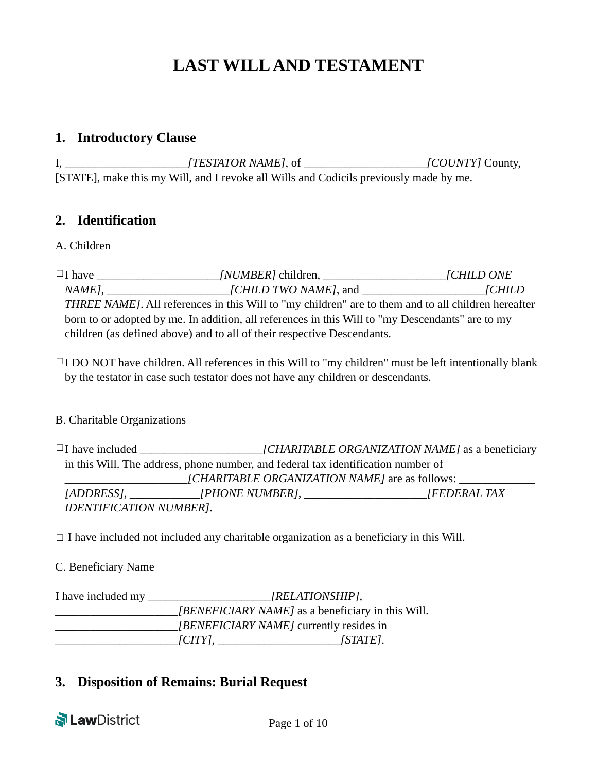# **LAST WILL AND TESTAMENT**

#### **1. Introductory Clause**

| [TESTATOR NAME], of                                                                    | [COUNTY] County, |
|----------------------------------------------------------------------------------------|------------------|
| [STATE], make this my Will, and I revoke all Wills and Codicils previously made by me. |                  |

### **2. Identification**

#### A. Children

☐I have \_\_\_\_\_\_\_\_\_\_\_\_\_\_\_\_\_\_\_\_\_*[NUMBER]* children, \_\_\_\_\_\_\_\_\_\_\_\_\_\_\_\_\_\_\_\_\_*[CHILD ONE NAME]*, \_\_\_\_\_\_\_\_\_\_\_\_\_\_\_\_\_\_\_\_\_*[CHILD TWO NAME]*, and \_\_\_\_\_\_\_\_\_\_\_\_\_\_\_\_\_\_\_\_\_*[CHILD THREE NAME]*. All references in this Will to "my children" are to them and to all children hereafter born to or adopted by me. In addition, all references in this Will to "my Descendants" are to my children (as defined above) and to all of their respective Descendants.

 $\Box$ I DO NOT have children. All references in this Will to "my children" must be left intentionally blank by the testator in case such testator does not have any children or descendants.

#### B. Charitable Organizations

□I have included \_\_\_\_\_\_\_\_\_\_\_\_\_\_\_\_\_\_\_\_\_\_\_*[CHARITABLE ORGANIZATION NAME]* as a beneficiary in this Will. The address, phone number, and federal tax identification number of \_\_\_\_\_\_\_\_\_\_\_\_\_\_\_\_\_\_\_\_\_*[CHARITABLE ORGANIZATION NAME]* are as follows: \_\_\_\_\_\_\_\_\_\_\_\_\_ *[ADDRESS]*, \_\_\_\_\_\_\_\_\_\_\_\_*[PHONE NUMBER]*, \_\_\_\_\_\_\_\_\_\_\_\_\_\_\_\_\_\_\_\_\_*[FEDERAL TAX IDENTIFICATION NUMBER]*.

 $\Box$  I have included not included any charitable organization as a beneficiary in this Will.

#### C. Beneficiary Name

| I have included my | [RELATIONSHIP],                                |                                                   |  |
|--------------------|------------------------------------------------|---------------------------------------------------|--|
|                    |                                                | [BENEFICIARY NAME] as a beneficiary in this Will. |  |
|                    | <i>[BENEFICIARY NAME]</i> currently resides in |                                                   |  |
|                    | $\lfloor CITY \rfloor$ .                       | [STATE].                                          |  |

# **3. Disposition of Remains: Burial Request**

**N Law** District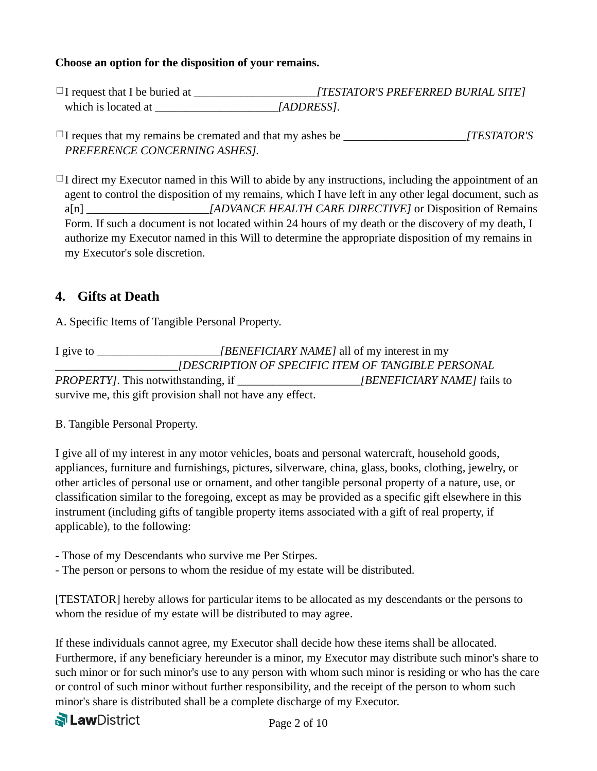#### **Choose an option for the disposition of your remains.**

□I request that I be buried at  $[TESTATOR'S PREFERRED BURL SITE]$ which is located at  $[ADDRESS]$ .

 $\Box$ I reques that my remains be cremated and that my ashes be  $[TESTATOR'S]$ *PREFERENCE CONCERNING ASHES].* 

 $\Box$ I direct my Executor named in this Will to abide by any instructions, including the appointment of an agent to control the disposition of my remains, which I have left in any other legal document, such as a[n] \_\_\_\_\_\_\_\_\_\_\_\_\_\_\_\_\_\_\_\_\_*[ADVANCE HEALTH CARE DIRECTIVE]* or Disposition of Remains Form. If such a document is not located within 24 hours of my death or the discovery of my death, I authorize my Executor named in this Will to determine the appropriate disposition of my remains in my Executor's sole discretion.

# **4. Gifts at Death**

A. Specific Items of Tangible Personal Property.

I give to **I** *[BENEFICIARY NAME]* all of my interest in my \_\_\_\_\_\_\_\_\_\_\_\_\_\_\_\_\_\_\_\_\_*[DESCRIPTION OF SPECIFIC ITEM OF TANGIBLE PERSONAL PROPERTY]*. This notwithstanding, if \_\_\_\_\_\_\_\_\_\_\_\_\_\_\_\_\_\_\_\_\_*[BENEFICIARY NAME]* fails to survive me, this gift provision shall not have any effect.

B. Tangible Personal Property.

I give all of my interest in any motor vehicles, boats and personal watercraft, household goods, appliances, furniture and furnishings, pictures, silverware, china, glass, books, clothing, jewelry, or other articles of personal use or ornament, and other tangible personal property of a nature, use, or classification similar to the foregoing, except as may be provided as a specific gift elsewhere in this instrument (including gifts of tangible property items associated with a gift of real property, if applicable), to the following:

- Those of my Descendants who survive me Per Stirpes.
- The person or persons to whom the residue of my estate will be distributed.

[TESTATOR] hereby allows for particular items to be allocated as my descendants or the persons to whom the residue of my estate will be distributed to may agree.

If these individuals cannot agree, my Executor shall decide how these items shall be allocated. Furthermore, if any beneficiary hereunder is a minor, my Executor may distribute such minor's share to such minor or for such minor's use to any person with whom such minor is residing or who has the care or control of such minor without further responsibility, and the receipt of the person to whom such minor's share is distributed shall be a complete discharge of my Executor.

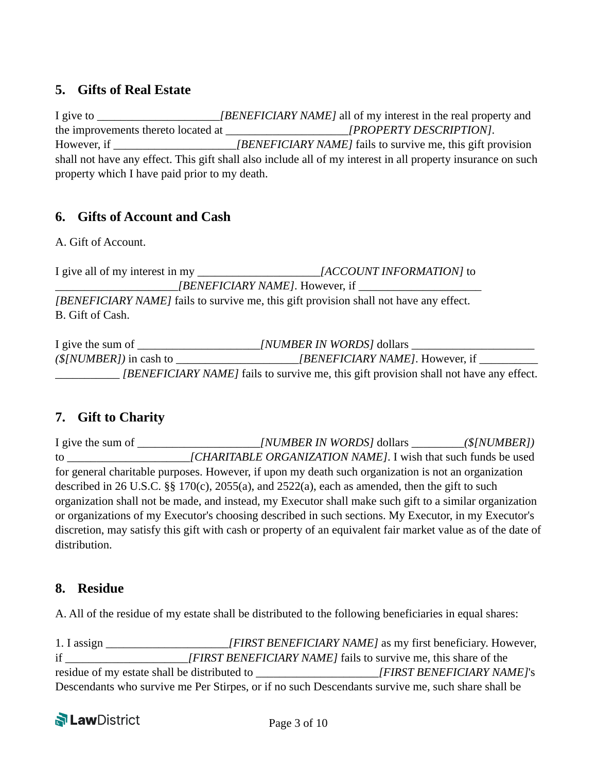# **5. Gifts of Real Estate**

I give to \_\_\_\_\_\_\_\_\_\_\_\_\_\_\_\_\_\_\_\_\_*[BENEFICIARY NAME]* all of my interest in the real property and the improvements thereto located at  $[PROPERTIES]$ However, if \_\_\_\_\_\_\_\_\_\_\_\_\_\_\_\_\_\_\_\_\_\_\_*[BENEFICIARY NAME]* fails to survive me, this gift provision shall not have any effect. This gift shall also include all of my interest in all property insurance on such property which I have paid prior to my death.

# **6. Gifts of Account and Cash**

A. Gift of Account.

I give all of my interest in my  $[ACCOUNT INFORMATION]$  to \_\_\_\_\_\_\_\_\_\_\_\_\_\_\_\_\_\_\_\_\_*[BENEFICIARY NAME]*. However, if \_\_\_\_\_\_\_\_\_\_\_\_\_\_\_\_\_\_\_\_\_ *[BENEFICIARY NAME]* fails to survive me, this gift provision shall not have any effect. B. Gift of Cash.

I give the sum of \_\_\_\_\_\_\_\_\_\_\_\_\_\_\_\_\_\_\_\_\_*[NUMBER IN WORDS]* dollars \_\_\_\_\_\_\_\_\_\_\_\_\_\_\_\_\_\_\_\_\_ *(\$[NUMBER])* in cash to \_\_\_\_\_\_\_\_\_\_\_\_\_\_\_\_\_\_\_\_\_*[BENEFICIARY NAME]*. However, if \_\_\_\_\_\_\_\_\_\_ \_\_\_\_\_\_\_\_\_\_\_ *[BENEFICIARY NAME]* fails to survive me, this gift provision shall not have any effect.

# **7. Gift to Charity**

I give the sum of \_\_\_\_\_\_\_\_\_\_\_\_\_\_\_\_\_\_\_\_\_*[NUMBER IN WORDS]* dollars \_\_\_\_\_\_\_\_\_*(\$[NUMBER])* to **ICHARITABLE ORGANIZATION NAME**. I wish that such funds be used for general charitable purposes. However, if upon my death such organization is not an organization described in 26 U.S.C. §§ 170(c), 2055(a), and 2522(a), each as amended, then the gift to such organization shall not be made, and instead, my Executor shall make such gift to a similar organization or organizations of my Executor's choosing described in such sections. My Executor, in my Executor's discretion, may satisfy this gift with cash or property of an equivalent fair market value as of the date of distribution.

# **8. Residue**

A. All of the residue of my estate shall be distributed to the following beneficiaries in equal shares:

1. I assign *IFIRST BENEFICIARY NAME]* as my first beneficiary. However, if \_\_\_\_\_\_\_\_\_\_\_\_\_\_\_\_\_\_\_\_\_*[FIRST BENEFICIARY NAME]* fails to survive me, this share of the residue of my estate shall be distributed to \_\_\_\_\_\_\_\_\_\_\_\_\_\_\_\_\_\_\_\_\_*[FIRST BENEFICIARY NAME]*'s Descendants who survive me Per Stirpes, or if no such Descendants survive me, such share shall be

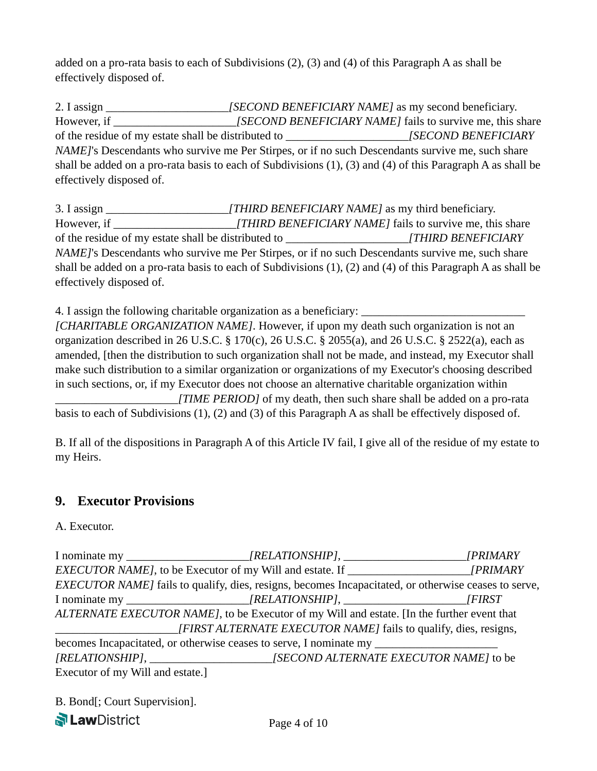added on a pro-rata basis to each of Subdivisions (2), (3) and (4) of this Paragraph A as shall be effectively disposed of.

2. I assign \_\_\_\_\_\_\_\_\_\_\_\_\_\_\_\_\_\_\_\_\_*[SECOND BENEFICIARY NAME]* as my second beneficiary. However, if *[SECOND BENEFICIARY NAME]* fails to survive me, this share of the residue of my estate shall be distributed to \_\_\_\_\_\_\_\_\_\_\_\_\_\_\_\_\_\_\_\_\_*[SECOND BENEFICIARY NAME]*'s Descendants who survive me Per Stirpes, or if no such Descendants survive me, such share shall be added on a pro-rata basis to each of Subdivisions (1), (3) and (4) of this Paragraph A as shall be effectively disposed of.

3. I assign \_\_\_\_\_\_\_\_\_\_\_\_\_\_\_\_\_\_\_\_\_*[THIRD BENEFICIARY NAME]* as my third beneficiary. However, if \_\_\_\_\_\_\_\_\_\_\_\_\_\_\_\_\_\_\_\_*\_[THIRD BENEFICIARY NAME]* fails to survive me, this share of the residue of my estate shall be distributed to \_\_\_\_\_\_\_\_\_\_\_\_\_\_\_\_\_\_\_\_\_*[THIRD BENEFICIARY NAME]*'s Descendants who survive me Per Stirpes, or if no such Descendants survive me, such share shall be added on a pro-rata basis to each of Subdivisions (1), (2) and (4) of this Paragraph A as shall be effectively disposed of.

4. I assign the following charitable organization as a beneficiary: *[CHARITABLE ORGANIZATION NAME]*. However, if upon my death such organization is not an organization described in 26 U.S.C. § 170(c), 26 U.S.C. § 2055(a), and 26 U.S.C. § 2522(a), each as amended, [then the distribution to such organization shall not be made, and instead, my Executor shall make such distribution to a similar organization or organizations of my Executor's choosing described in such sections, or, if my Executor does not choose an alternative charitable organization within \_\_\_\_\_\_\_\_\_\_\_\_\_\_\_\_\_\_\_\_*\_[TIME PERIOD]* of my death, then such share shall be added on a pro-rata basis to each of Subdivisions (1), (2) and (3) of this Paragraph A as shall be effectively disposed of.

B. If all of the dispositions in Paragraph A of this Article IV fail, I give all of the residue of my estate to my Heirs.

# **9. Executor Provisions**

#### A. Executor.

I nominate my \_\_\_\_\_\_\_\_\_\_\_\_\_\_\_\_\_\_\_\_\_*[RELATIONSHIP],* \_\_\_\_\_\_\_\_\_\_\_\_\_\_\_\_\_\_\_\_\_*[PRIMARY EXECUTOR NAME]*, to be Executor of my Will and estate. If \_\_\_\_\_\_\_\_\_\_\_\_\_\_\_\_\_\_\_\_\_*[PRIMARY EXECUTOR NAME]* fails to qualify, dies, resigns, becomes Incapacitated, or otherwise ceases to serve, I nominate my \_\_\_\_\_\_\_\_\_\_\_\_\_\_\_\_\_\_\_\_\_*[RELATIONSHIP]*, \_\_\_\_\_\_\_\_\_\_\_\_\_\_\_\_\_\_\_\_\_*[FIRST ALTERNATE EXECUTOR NAME]*, to be Executor of my Will and estate. [In the further event that \_\_\_\_\_\_\_\_\_\_\_\_\_\_\_\_\_\_\_\_*\_[FIRST ALTERNATE EXECUTOR NAME]* fails to qualify, dies, resigns, becomes Incapacitated, or otherwise ceases to serve, I nominate my *[RELATIONSHIP]*, \_\_\_\_\_\_\_\_\_\_\_\_\_\_\_\_\_\_\_\_\_*[SECOND ALTERNATE EXECUTOR NAME]* to be Executor of my Will and estate.]

B. Bond[; Court Supervision].

**PLawDistrict**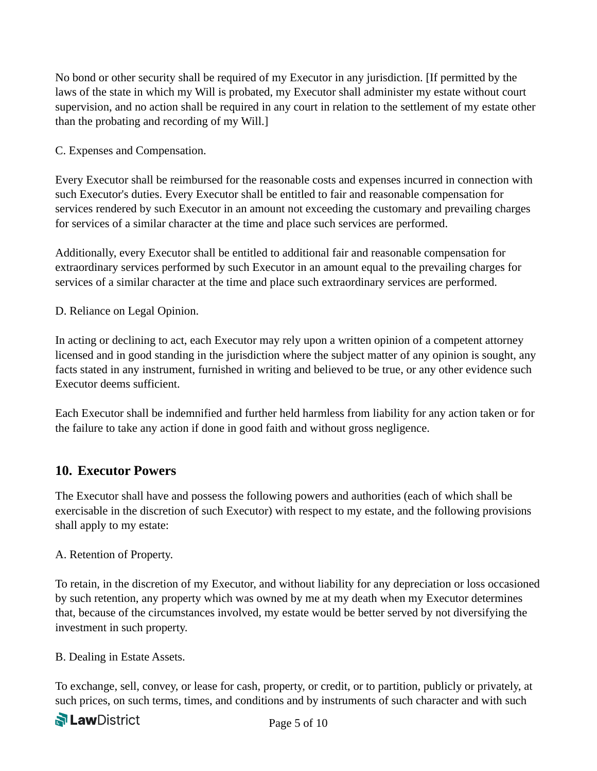No bond or other security shall be required of my Executor in any jurisdiction. [If permitted by the laws of the state in which my Will is probated, my Executor shall administer my estate without court supervision, and no action shall be required in any court in relation to the settlement of my estate other than the probating and recording of my Will.]

C. Expenses and Compensation.

Every Executor shall be reimbursed for the reasonable costs and expenses incurred in connection with such Executor's duties. Every Executor shall be entitled to fair and reasonable compensation for services rendered by such Executor in an amount not exceeding the customary and prevailing charges for services of a similar character at the time and place such services are performed.

Additionally, every Executor shall be entitled to additional fair and reasonable compensation for extraordinary services performed by such Executor in an amount equal to the prevailing charges for services of a similar character at the time and place such extraordinary services are performed.

D. Reliance on Legal Opinion.

In acting or declining to act, each Executor may rely upon a written opinion of a competent attorney licensed and in good standing in the jurisdiction where the subject matter of any opinion is sought, any facts stated in any instrument, furnished in writing and believed to be true, or any other evidence such Executor deems sufficient.

Each Executor shall be indemnified and further held harmless from liability for any action taken or for the failure to take any action if done in good faith and without gross negligence.

# **10. Executor Powers**

The Executor shall have and possess the following powers and authorities (each of which shall be exercisable in the discretion of such Executor) with respect to my estate, and the following provisions shall apply to my estate:

#### A. Retention of Property.

To retain, in the discretion of my Executor, and without liability for any depreciation or loss occasioned by such retention, any property which was owned by me at my death when my Executor determines that, because of the circumstances involved, my estate would be better served by not diversifying the investment in such property.

B. Dealing in Estate Assets.

To exchange, sell, convey, or lease for cash, property, or credit, or to partition, publicly or privately, at such prices, on such terms, times, and conditions and by instruments of such character and with such

**PLawDistrict**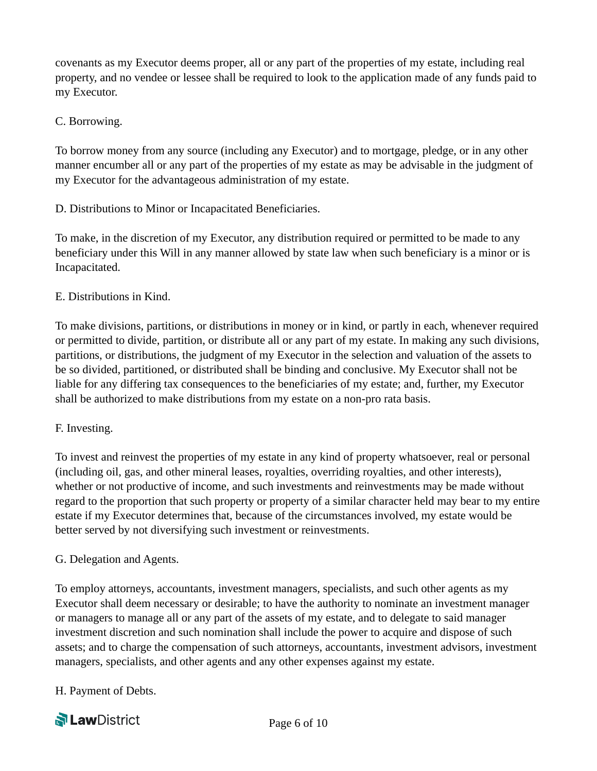covenants as my Executor deems proper, all or any part of the properties of my estate, including real property, and no vendee or lessee shall be required to look to the application made of any funds paid to my Executor.

#### C. Borrowing.

To borrow money from any source (including any Executor) and to mortgage, pledge, or in any other manner encumber all or any part of the properties of my estate as may be advisable in the judgment of my Executor for the advantageous administration of my estate.

D. Distributions to Minor or Incapacitated Beneficiaries.

To make, in the discretion of my Executor, any distribution required or permitted to be made to any beneficiary under this Will in any manner allowed by state law when such beneficiary is a minor or is Incapacitated.

### E. Distributions in Kind.

To make divisions, partitions, or distributions in money or in kind, or partly in each, whenever required or permitted to divide, partition, or distribute all or any part of my estate. In making any such divisions, partitions, or distributions, the judgment of my Executor in the selection and valuation of the assets to be so divided, partitioned, or distributed shall be binding and conclusive. My Executor shall not be liable for any differing tax consequences to the beneficiaries of my estate; and, further, my Executor shall be authorized to make distributions from my estate on a non-pro rata basis.

#### F. Investing.

To invest and reinvest the properties of my estate in any kind of property whatsoever, real or personal (including oil, gas, and other mineral leases, royalties, overriding royalties, and other interests), whether or not productive of income, and such investments and reinvestments may be made without regard to the proportion that such property or property of a similar character held may bear to my entire estate if my Executor determines that, because of the circumstances involved, my estate would be better served by not diversifying such investment or reinvestments.

#### G. Delegation and Agents.

To employ attorneys, accountants, investment managers, specialists, and such other agents as my Executor shall deem necessary or desirable; to have the authority to nominate an investment manager or managers to manage all or any part of the assets of my estate, and to delegate to said manager investment discretion and such nomination shall include the power to acquire and dispose of such assets; and to charge the compensation of such attorneys, accountants, investment advisors, investment managers, specialists, and other agents and any other expenses against my estate.

H. Payment of Debts.

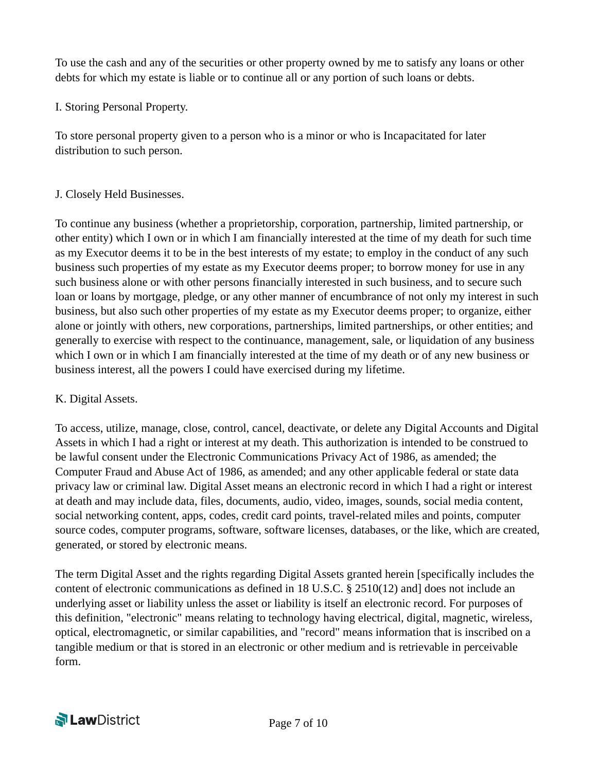To use the cash and any of the securities or other property owned by me to satisfy any loans or other debts for which my estate is liable or to continue all or any portion of such loans or debts.

I. Storing Personal Property.

To store personal property given to a person who is a minor or who is Incapacitated for later distribution to such person.

#### J. Closely Held Businesses.

To continue any business (whether a proprietorship, corporation, partnership, limited partnership, or other entity) which I own or in which I am financially interested at the time of my death for such time as my Executor deems it to be in the best interests of my estate; to employ in the conduct of any such business such properties of my estate as my Executor deems proper; to borrow money for use in any such business alone or with other persons financially interested in such business, and to secure such loan or loans by mortgage, pledge, or any other manner of encumbrance of not only my interest in such business, but also such other properties of my estate as my Executor deems proper; to organize, either alone or jointly with others, new corporations, partnerships, limited partnerships, or other entities; and generally to exercise with respect to the continuance, management, sale, or liquidation of any business which I own or in which I am financially interested at the time of my death or of any new business or business interest, all the powers I could have exercised during my lifetime.

#### K. Digital Assets.

To access, utilize, manage, close, control, cancel, deactivate, or delete any Digital Accounts and Digital Assets in which I had a right or interest at my death. This authorization is intended to be construed to be lawful consent under the Electronic Communications Privacy Act of 1986, as amended; the Computer Fraud and Abuse Act of 1986, as amended; and any other applicable federal or state data privacy law or criminal law. Digital Asset means an electronic record in which I had a right or interest at death and may include data, files, documents, audio, video, images, sounds, social media content, social networking content, apps, codes, credit card points, travel-related miles and points, computer source codes, computer programs, software, software licenses, databases, or the like, which are created, generated, or stored by electronic means.

The term Digital Asset and the rights regarding Digital Assets granted herein [specifically includes the content of electronic communications as defined in 18 U.S.C. § 2510(12) and] does not include an underlying asset or liability unless the asset or liability is itself an electronic record. For purposes of this definition, "electronic" means relating to technology having electrical, digital, magnetic, wireless, optical, electromagnetic, or similar capabilities, and "record" means information that is inscribed on a tangible medium or that is stored in an electronic or other medium and is retrievable in perceivable form.

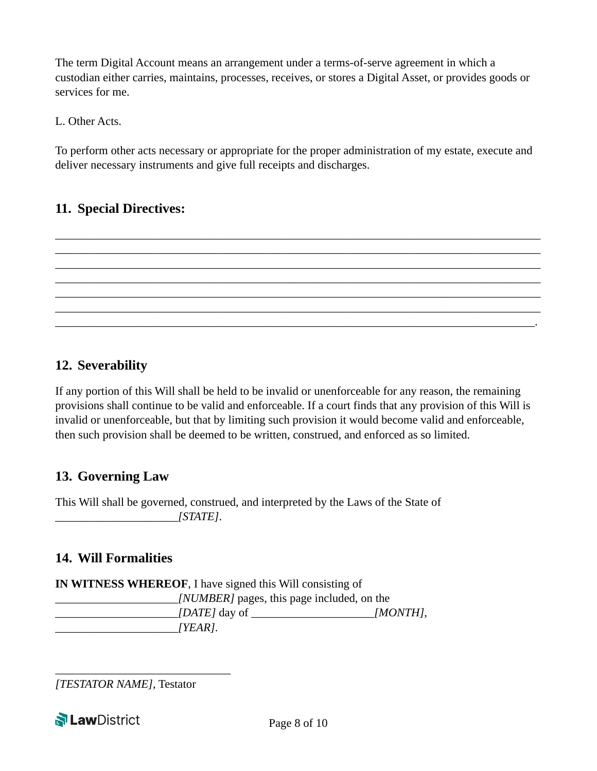The term Digital Account means an arrangement under a terms-of-serve agreement in which a custodian either carries, maintains, processes, receives, or stores a Digital Asset, or provides goods or services for me.

L. Other Acts.

To perform other acts necessary or appropriate for the proper administration of my estate, execute and deliver necessary instruments and give full receipts and discharges.

\_\_\_\_\_\_\_\_\_\_\_\_\_\_\_\_\_\_\_\_\_\_\_\_\_\_\_\_\_\_\_\_\_\_\_\_\_\_\_\_\_\_\_\_\_\_\_\_\_\_\_\_\_\_\_\_\_\_\_\_\_\_\_\_\_\_\_\_\_\_\_\_\_\_\_\_\_\_\_\_\_\_\_ \_\_\_\_\_\_\_\_\_\_\_\_\_\_\_\_\_\_\_\_\_\_\_\_\_\_\_\_\_\_\_\_\_\_\_\_\_\_\_\_\_\_\_\_\_\_\_\_\_\_\_\_\_\_\_\_\_\_\_\_\_\_\_\_\_\_\_\_\_\_\_\_\_\_\_\_\_\_\_\_\_\_\_ \_\_\_\_\_\_\_\_\_\_\_\_\_\_\_\_\_\_\_\_\_\_\_\_\_\_\_\_\_\_\_\_\_\_\_\_\_\_\_\_\_\_\_\_\_\_\_\_\_\_\_\_\_\_\_\_\_\_\_\_\_\_\_\_\_\_\_\_\_\_\_\_\_\_\_\_\_\_\_\_\_\_\_ \_\_\_\_\_\_\_\_\_\_\_\_\_\_\_\_\_\_\_\_\_\_\_\_\_\_\_\_\_\_\_\_\_\_\_\_\_\_\_\_\_\_\_\_\_\_\_\_\_\_\_\_\_\_\_\_\_\_\_\_\_\_\_\_\_\_\_\_\_\_\_\_\_\_\_\_\_\_\_\_\_\_\_ \_\_\_\_\_\_\_\_\_\_\_\_\_\_\_\_\_\_\_\_\_\_\_\_\_\_\_\_\_\_\_\_\_\_\_\_\_\_\_\_\_\_\_\_\_\_\_\_\_\_\_\_\_\_\_\_\_\_\_\_\_\_\_\_\_\_\_\_\_\_\_\_\_\_\_\_\_\_\_\_\_\_\_ \_\_\_\_\_\_\_\_\_\_\_\_\_\_\_\_\_\_\_\_\_\_\_\_\_\_\_\_\_\_\_\_\_\_\_\_\_\_\_\_\_\_\_\_\_\_\_\_\_\_\_\_\_\_\_\_\_\_\_\_\_\_\_\_\_\_\_\_\_\_\_\_\_\_\_\_\_\_\_\_\_\_\_ \_\_\_\_\_\_\_\_\_\_\_\_\_\_\_\_\_\_\_\_\_\_\_\_\_\_\_\_\_\_\_\_\_\_\_\_\_\_\_\_\_\_\_\_\_\_\_\_\_\_\_\_\_\_\_\_\_\_\_\_\_\_\_\_\_\_\_\_\_\_\_\_\_\_\_\_\_\_\_\_\_\_.

# **11. Special Directives:**

# **12. Severability**

If any portion of this Will shall be held to be invalid or unenforceable for any reason, the remaining provisions shall continue to be valid and enforceable. If a court finds that any provision of this Will is invalid or unenforceable, but that by limiting such provision it would become valid and enforceable, then such provision shall be deemed to be written, construed, and enforced as so limited.

# **13. Governing Law**

This Will shall be governed, construed, and interpreted by the Laws of the State of \_\_\_\_\_\_\_\_\_\_\_\_\_\_\_\_\_\_\_\_\_*[STATE]*.

# **14. Will Formalities**

**IN WITNESS WHEREOF**, I have signed this Will consisting of *\_\_\_\_\_\_\_\_\_\_\_\_\_\_\_\_\_\_\_\_\_[NUMBER]* pages, this page included, on the \_\_\_\_\_\_\_\_\_\_\_\_\_\_\_\_\_\_\_\_\_*[DATE]* day of \_\_\_\_\_\_\_\_\_\_\_\_\_\_\_\_\_\_\_\_\_*[MONTH]*, \_\_\_\_\_\_\_\_\_\_\_\_\_\_\_\_\_\_\_\_\_*[YEAR]*.

*[TESTATOR NAME]*, Testator

\_\_\_\_\_\_\_\_\_\_\_\_\_\_\_\_\_\_\_\_\_\_\_\_\_\_\_\_\_\_

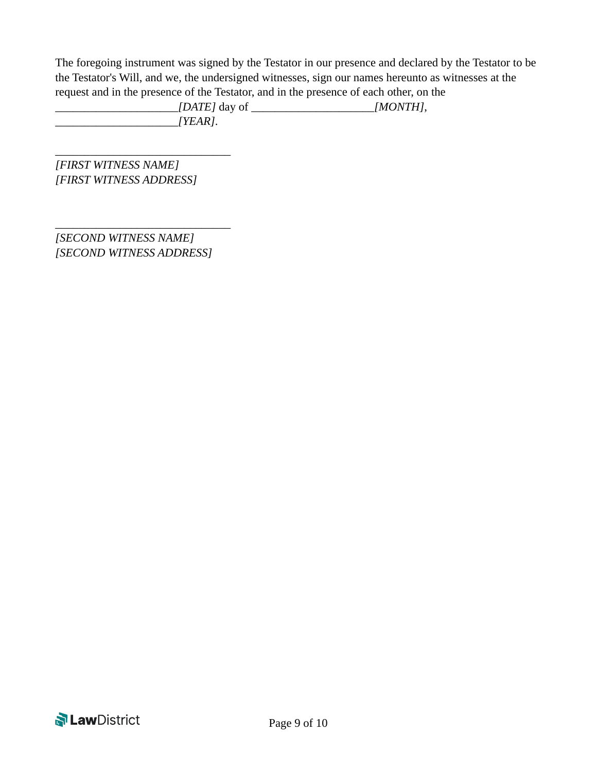The foregoing instrument was signed by the Testator in our presence and declared by the Testator to be the Testator's Will, and we, the undersigned witnesses, sign our names hereunto as witnesses at the request and in the presence of the Testator, and in the presence of each other, on the

\_\_\_\_\_\_\_\_\_\_\_\_\_\_\_\_\_\_\_\_\_*[DATE]* day of \_\_\_\_\_\_\_\_\_\_\_\_\_\_\_\_\_\_\_\_\_*[MONTH]*, \_\_\_\_\_\_\_\_\_\_\_\_\_\_\_\_\_\_\_\_\_*[YEAR]*.

*[FIRST WITNESS NAME] [FIRST WITNESS ADDRESS]* 

\_\_\_\_\_\_\_\_\_\_\_\_\_\_\_\_\_\_\_\_\_\_\_\_\_\_\_\_\_\_

*[SECOND WITNESS NAME] [SECOND WITNESS ADDRESS]* 

\_\_\_\_\_\_\_\_\_\_\_\_\_\_\_\_\_\_\_\_\_\_\_\_\_\_\_\_\_\_